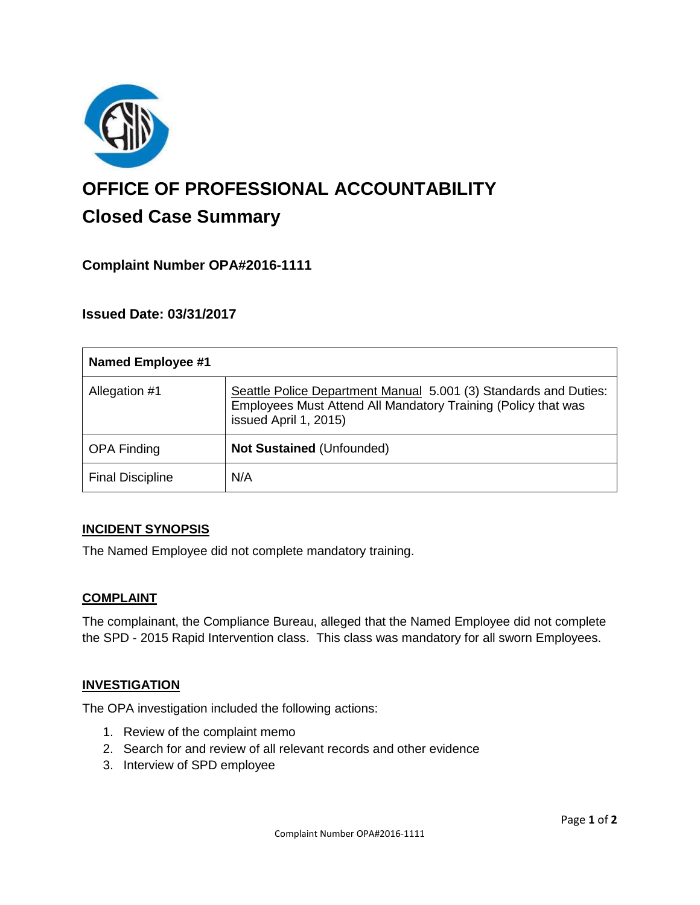

# **OFFICE OF PROFESSIONAL ACCOUNTABILITY Closed Case Summary**

# **Complaint Number OPA#2016-1111**

## **Issued Date: 03/31/2017**

| <b>Named Employee #1</b> |                                                                                                                                                            |
|--------------------------|------------------------------------------------------------------------------------------------------------------------------------------------------------|
| Allegation #1            | Seattle Police Department Manual 5.001 (3) Standards and Duties:<br>Employees Must Attend All Mandatory Training (Policy that was<br>issued April 1, 2015) |
| <b>OPA Finding</b>       | Not Sustained (Unfounded)                                                                                                                                  |
| <b>Final Discipline</b>  | N/A                                                                                                                                                        |

#### **INCIDENT SYNOPSIS**

The Named Employee did not complete mandatory training.

#### **COMPLAINT**

The complainant, the Compliance Bureau, alleged that the Named Employee did not complete the SPD - 2015 Rapid Intervention class. This class was mandatory for all sworn Employees.

#### **INVESTIGATION**

The OPA investigation included the following actions:

- 1. Review of the complaint memo
- 2. Search for and review of all relevant records and other evidence
- 3. Interview of SPD employee